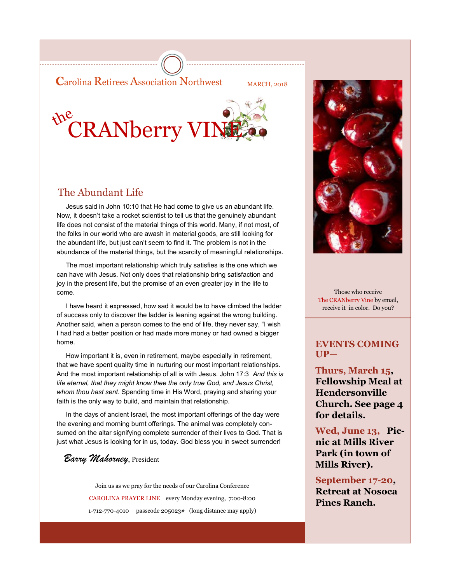**C**arolina Retirees Association Northwest MARCH, 2018



### The Abundant Life

 Jesus said in John 10:10 that He had come to give us an abundant life. Now, it doesn't take a rocket scientist to tell us that the genuinely abundant life does not consist of the material things of this world. Many, if not most, of the folks in our world who are awash in material goods, are still looking for the abundant life, but just can't seem to find it. The problem is not in the abundance of the material things, but the scarcity of meaningful relationships.

 The most important relationship which truly satisfies is the one which we can have with Jesus. Not only does that relationship bring satisfaction and joy in the present life, but the promise of an even greater joy in the life to come.

 I have heard it expressed, how sad it would be to have climbed the ladder of success only to discover the ladder is leaning against the wrong building. Another said, when a person comes to the end of life, they never say, "I wish I had had a better position or had made more money or had owned a bigger home.

 How important it is, even in retirement, maybe especially in retirement, that we have spent quality time in nurturing our most important relationships. And the most important relationship of all is with Jesus. John 17:3 *And this is life eternal, that they might know thee the only true God, and Jesus Christ, whom thou hast sent*. Spending time in His Word, praying and sharing your faith is the only way to build, and maintain that relationship.

 In the days of ancient Israel, the most important offerings of the day were the evening and morning burnt offerings. The animal was completely consumed on the altar signifying complete surrender of their lives to God. That is just what Jesus is looking for in us, today. God bless you in sweet surrender!

### —*Barry Mahorney*, President

Join us as we pray for the needs of our Carolina Conference CAROLINA PRAYER LINE every Monday evening, 7:00-8:00 1-712-770-4010 passcode 205023# (long distance may apply)



Those who receive The CRANberry Vine by email, receive it in color. Do you?

#### **EVENTS COMING UP—**

**Thurs, March 15, Fellowship Meal at Hendersonville Church. See page 4 for details.**

**Wed, June 13, Picnic at Mills River Park (in town of Mills River).**

**September 17-20, Retreat at Nosoca Pines Ranch.**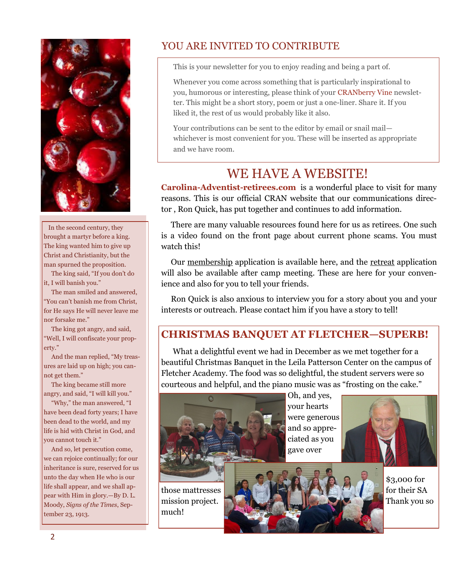

 In the second century, they brought a martyr before a king. The king wanted him to give up Christ and Christianity, but the man spurned the proposition.

 The king said, "If you don't do it, I will banish you."

 The man smiled and answered, "You can't banish me from Christ, for He says He will never leave me nor forsake me."

 The king got angry, and said, "Well, I will confiscate your property."

 And the man replied, "My treasures are laid up on high; you cannot get them."

 The king became still more angry, and said, "I will kill you."

 "Why," the man answered, "I have been dead forty years; I have been dead to the world, and my life is hid with Christ in God, and you cannot touch it."

 And so, let persecution come, we can rejoice continually; for our inheritance is sure, reserved for us unto the day when He who is our life shall appear, and we shall appear with Him in glory.—By D. L. Moody, *Signs of the Times*, September 23, 1913.

## YOU ARE INVITED TO CONTRIBUTE

This is your newsletter for you to enjoy reading and being a part of.

Whenever you come across something that is particularly inspirational to you, humorous or interesting, please think of your CRANberry Vine newsletter. This might be a short story, poem or just a one-liner. Share it. If you liked it, the rest of us would probably like it also.

Your contributions can be sent to the editor by email or snail mail whichever is most convenient for you. These will be inserted as appropriate and we have room.

# WE HAVE A WEBSITE!

**Carolina-Adventist-retirees.com** is a wonderful place to visit for many reasons. This is our official CRAN website that our communications director , Ron Quick, has put together and continues to add information.

 There are many valuable resources found here for us as retirees. One such is a video found on the front page about current phone scams. You must watch this!

 Our membership application is available here, and the retreat application will also be available after camp meeting. These are here for your convenience and also for you to tell your friends.

 Ron Quick is also anxious to interview you for a story about you and your interests or outreach. Please contact him if you have a story to tell!

### **CHRISTMAS BANQUET AT FLETCHER—SUPERB!**

 What a delightful event we had in December as we met together for a beautiful Christmas Banquet in the Leila Patterson Center on the campus of Fletcher Academy. The food was so delightful, the student servers were so courteous and helpful, and the piano music was as "frosting on the cake."



Oh, and yes, your hearts were generous and so appreciated as you gave over



those mattresses **that the same of the same of the same of the same of the same of the same of the same of the same of the same of the same of the same of the same of the same of the same of the same of the same of the sam** mission project. Thank you so much!

\$3,000 for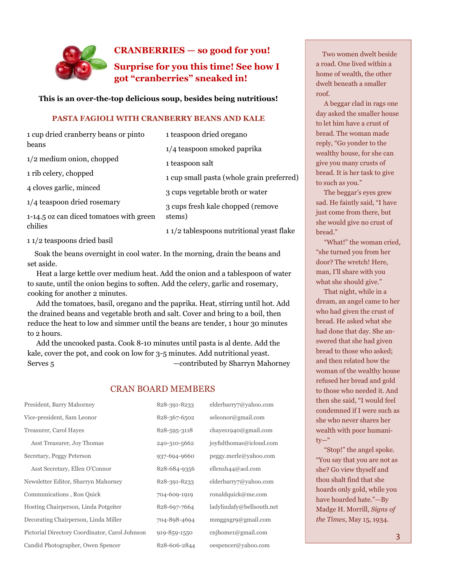

#### **CRANBERRIES — so good for you!**

**Surprise for you this time! See how I got "cranberries" sneaked in!** 

#### **This is an over-the-top delicious soup, besides being nutritious!**

#### **PASTA FAGIOLI WITH CRANBERRY BEANS AND KALE**

| 1 cup dried cranberry beans or pinto               | 1 teaspoon dried oregano                                                                    |  |
|----------------------------------------------------|---------------------------------------------------------------------------------------------|--|
| beans                                              | 1/4 teaspoon smoked paprika<br>1 teaspoon salt<br>1 cup small pasta (whole grain preferred) |  |
| $1/2$ medium onion, chopped                        |                                                                                             |  |
| 1 rib celery, chopped                              |                                                                                             |  |
| 4 cloves garlic, minced                            | 3 cups vegetable broth or water                                                             |  |
| 1/4 teaspoon dried rosemary                        | 3 cups fresh kale chopped (remove                                                           |  |
| 1-14.5 oz can diced tomatoes with green<br>chilies | stems)                                                                                      |  |
|                                                    | 11/2 tablespoons nutritional yeast flake                                                    |  |

1 1/2 teaspoons dried basil

 Soak the beans overnight in cool water. In the morning, drain the beans and set aside.

 Heat a large kettle over medium heat. Add the onion and a tablespoon of water to saute, until the onion begins to soften. Add the celery, garlic and rosemary, cooking for another 2 minutes.

 Add the tomatoes, basil, oregano and the paprika. Heat, stirring until hot. Add the drained beans and vegetable broth and salt. Cover and bring to a boil, then reduce the heat to low and simmer until the beans are tender, 1 hour 30 minutes to 2 hours.

 Add the uncooked pasta. Cook 8-10 minutes until pasta is al dente. Add the kale, cover the pot, and cook on low for 3-5 minutes. Add nutritional yeast. Serves 5 — contributed by Sharryn Mahorney

#### CRAN BOARD MEMBERS

| President, Barry Mahorney                      | 828-391-8233 | elderbarry7@yahoo.com     |
|------------------------------------------------|--------------|---------------------------|
| Vice-president, Sam Leonor                     | 828-367-6502 | seleonor@gmail.com        |
| Treasurer, Carol Hayes                         | 828-595-3118 | chayes1940@gmail.com      |
| Asst Treasurer, Joy Thomas                     | 240-310-5662 | joyfulthomas@icloud.com   |
| Secretary, Peggy Peterson                      | 937-694-9660 | peggy.merle@yahoo.com     |
| Asst Secretary, Ellen O'Connor                 | 828-684-9356 | ellensh44@aol.com         |
| Newsletter Editor, Sharryn Mahorney            | 828-391-8233 | elderbarry7@yahoo.com     |
| Communications, Ron Quick                      | 704-609-1919 | ronaldquick@me.com        |
| Hosting Chairperson, Linda Potgeiter           | 828-697-7664 | ladylindafy@bellsouth.net |
| Decorating Chairperson, Linda Miller           | 704-898-4694 | mmggngr9@gmail.com        |
| Pictorial Directory Coordinator, Carol Johnson | 919-859-1550 | cnihome1@gmail.com        |
| Candid Photographer, Owen Spencer              | 828-606-2844 | oespencer@yahoo.com       |

 Two women dwelt beside a road. One lived within a home of wealth, the other dwelt beneath a smaller roof.

 A beggar clad in rags one day asked the smaller house to let him have a crust of bread. The woman made reply, "Go yonder to the wealthy house, for she can give you many crusts of bread. It is her task to give to such as you."

 The beggar's eyes grew sad. He faintly said, "I have just come from there, but she would give no crust of bread."

 "What!" the woman cried, "she turned you from her door? The wretch! Here, man, I'll share with you what she should give."

 That night, while in a dream, an angel came to her who had given the crust of bread. He asked what she had done that day. She answered that she had given bread to those who asked; and then related how the woman of the wealthy house refused her bread and gold to those who needed it. And then she said, "I would feel condemned if I were such as she who never shares her wealth with poor humani $ty-$ "

 "Stop!" the angel spoke. "You say that you are not as she? Go view thyself and thou shalt find that she hoards only gold, while you have hoarded hate."—By Madge H. Morrill, *Signs of the Times*, May 15, 1934.